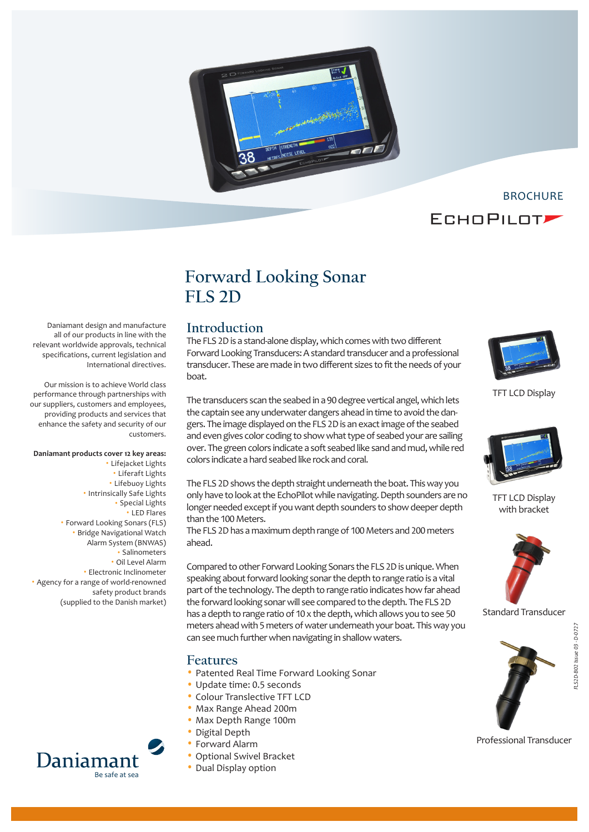



# **Forward Looking Sonar FLS 2D**

### **Introduction**

The FLS 2D is a stand-alone display, which comes with two different Forward Looking Transducers: A standard transducer and a professional transducer. These are made in two different sizes to fit the needs of your



TFT LCD Display



TFT LCD Display with bracket



Standard Transducer



*FLS2D-B02 Issue 03 - D-0727*

LS2D-B02 Issue 03 - D-0727

#### Professional Transducer

all of our products in line with the relevant worldwide approvals, technical specifications, current legislation and International directives. Our mission is to achieve World class boat.

performance through partnerships with our suppliers, customers and employees, providing products and services that enhance the safety and security of our customers.

Daniamant design and manufacture

#### **Daniamant products cover 12 key areas:**

• Lifejacket Lights • Liferaft Lights • Lifebuoy Lights • Intrinsically Safe Lights • Special Lights • LED Flares • Forward Looking Sonars (FLS) • Bridge Navigational Watch Alarm System (BNWAS) • Salinometers • Oil Level Alarm • Electronic Inclinometer • Agency for a range of world-renowned safety product brands (supplied to the Danish market)



The transducers scan the seabed in a 90 degree vertical angel, which lets the captain see any underwater dangers ahead in time to avoid the dangers. The image displayed on the FLS 2D is an exact image of the seabed and even gives color coding to show what type of seabed your are sailing over. The green colors indicate a soft seabed like sand and mud, while red colors indicate a hard seabed like rock and coral.

The FLS 2D shows the depth straight underneath the boat. This way you only have to look at the EchoPilot while navigating. Depth sounders are no longer needed except if you want depth sounders to show deeper depth than the 100 Meters.

The FLS 2D has a maximum depth range of 100 Meters and 200 meters ahead.

Compared to other Forward Looking Sonars the FLS 2D is unique. When speaking about forward looking sonar the depth to range ratio is a vital part of the technology. The depth to range ratio indicates how far ahead the forward looking sonar will see compared to the depth. The FLS 2D has a depth to range ratio of 10 x the depth, which allows you to see 50 meters ahead with 5 meters of water underneath your boat. This way you can see much further when navigating in shallow waters.

#### **Features**

- Patented Real Time Forward Looking Sonar
- Update time: 0.5 seconds
- Colour Translective TFT LCD
- Max Range Ahead 200m
- Max Depth Range 100m
- Digital Depth
- Forward Alarm
- Optional Swivel Bracket
- Dual Display option